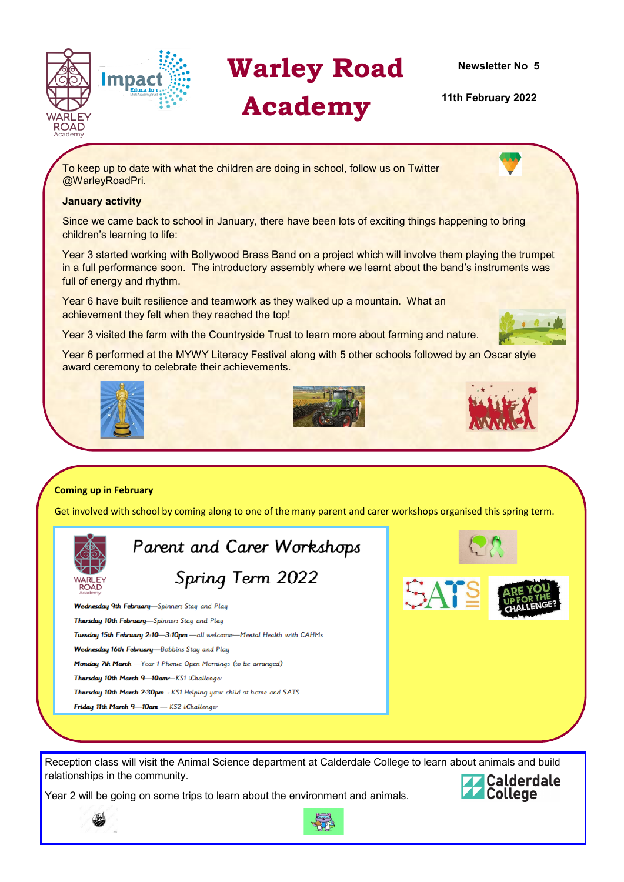

# **Warley Road**

# **Academy**

**Newsletter No 5**

 **11th February 2022**

To keep up to date with what the children are doing in school, follow us on Twitter @WarleyRoadPri.

# **January activity**

Since we came back to school in January, there have been lots of exciting things happening to bring children's learning to life:

Year 3 started working with Bollywood Brass Band on a project which will involve them playing the trumpet in a full performance soon. The introductory assembly where we learnt about the band's instruments was full of energy and rhythm.

Year 6 have built resilience and teamwork as they walked up a mountain. What an achievement they felt when they reached the top!

Year 3 visited the farm with the Countryside Trust to learn more about farming and nature.

Year 6 performed at the MYWY Literacy Festival along with 5 other schools followed by an Oscar style award ceremony to celebrate their achievements.







Get involved with school by coming along to one of the many parent and carer workshops organised this spring term.



Parent and Carer Workshops Spring Term 2022

Wednesday 9th February-Spinners Stay and Play Thursday 10th February-Spinners Stay and Play Tuesday 15th February 2:10-3:10pm - all welcome-Mental Health with CAHMs Wednesday 16th February-Bobbins Stay and Play Monday 7th March -Year 1 Phonic Open Mornings (to be arranged) Thursday 10th March 9-10am - KS1 iChallenge Thursday 10th March 2:30pm - KS1 Helping your child at home and SATS Friday 11th March 9-10am - KS2 iChallenge



Reception class will visit the Animal Science department at Calderdale College to learn about animals and build relationships in the community.

Year 2 will be going on some trips to learn about the environment and animals.



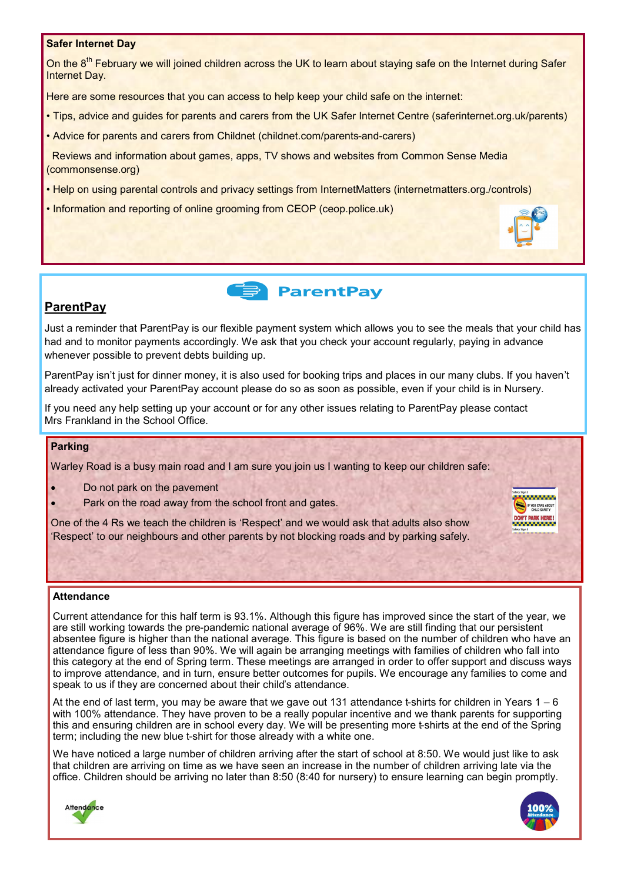# **Safer Internet Day**

On the 8<sup>th</sup> February we will joined children across the UK to learn about staying safe on the Internet during Safer Internet Day.

Here are some resources that you can access to help keep your child safe on the internet:

- Tips, advice and guides for parents and carers from the UK Safer Internet Centre (saferinternet.org.uk/parents)
- Advice for parents and carers from Childnet (childnet.com/parents-and-carers)

Reviews and information about games, apps, TV shows and websites from Common Sense Media (commonsense.org)

- Help on using parental controls and privacy settings from InternetMatters (internetmatters.org./controls)
- Information and reporting of online grooming from CEOP (ceop.police.uk)



# **ParentPay**

Just a reminder that ParentPay is our flexible payment system which allows you to see the meals that your child has had and to monitor payments accordingly. We ask that you check your account regularly, paying in advance whenever possible to prevent debts building up.

ParentPay isn't just for dinner money, it is also used for booking trips and places in our many clubs. If you haven't already activated your ParentPay account please do so as soon as possible, even if your child is in Nursery.

If you need any help setting up your account or for any other issues relating to ParentPay please contact Mrs Frankland in the School Office.

# **Parking**

Warley Road is a busy main road and I am sure you join us I wanting to keep our children safe:

- Do not park on the pavement
- Park on the road away from the school front and gates.

One of the 4 Rs we teach the children is 'Respect' and we would ask that adults also show 'Respect' to our neighbours and other parents by not blocking roads and by parking safely.

## **Attendance**

Current attendance for this half term is 93.1%. Although this figure has improved since the start of the year, we are still working towards the pre-pandemic national average of 96%. We are still finding that our persistent absentee figure is higher than the national average. This figure is based on the number of children who have an attendance figure of less than 90%. We will again be arranging meetings with families of children who fall into this category at the end of Spring term. These meetings are arranged in order to offer support and discuss ways to improve attendance, and in turn, ensure better outcomes for pupils. We encourage any families to come and speak to us if they are concerned about their child's attendance.

At the end of last term, you may be aware that we gave out 131 attendance t-shirts for children in Years 1 – 6 with 100% attendance. They have proven to be a really popular incentive and we thank parents for supporting this and ensuring children are in school every day. We will be presenting more t-shirts at the end of the Spring term; including the new blue t-shirt for those already with a white one.

We have noticed a large number of children arriving after the start of school at 8:50. We would just like to ask that children are arriving on time as we have seen an increase in the number of children arriving late via the office. Children should be arriving no later than 8:50 (8:40 for nursery) to ensure learning can begin promptly.